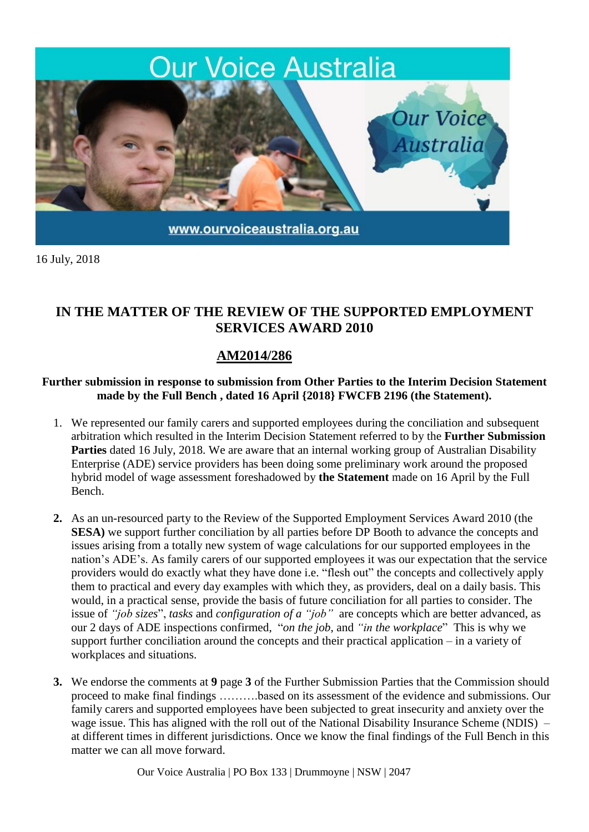

16 July, 2018

## **IN THE MATTER OF THE REVIEW OF THE SUPPORTED EMPLOYMENT SERVICES AWARD 2010**

## **AM2014/286**

## **Further submission in response to submission from Other Parties to the Interim Decision Statement made by the Full Bench , dated 16 April {2018} FWCFB 2196 (the Statement).**

- 1. We represented our family carers and supported employees during the conciliation and subsequent arbitration which resulted in the Interim Decision Statement referred to by the **Further Submission Parties** dated 16 July, 2018. We are aware that an internal working group of Australian Disability Enterprise (ADE) service providers has been doing some preliminary work around the proposed hybrid model of wage assessment foreshadowed by **the Statement** made on 16 April by the Full Bench.
- **2.** As an un-resourced party to the Review of the Supported Employment Services Award 2010 (the **SESA**) we support further conciliation by all parties before DP Booth to advance the concepts and issues arising from a totally new system of wage calculations for our supported employees in the nation's ADE's. As family carers of our supported employees it was our expectation that the service providers would do exactly what they have done i.e. "flesh out" the concepts and collectively apply them to practical and every day examples with which they, as providers, deal on a daily basis. This would, in a practical sense, provide the basis of future conciliation for all parties to consider. The issue of *"job sizes*", *tasks* and *configuration of a "job"* are concepts which are better advanced, as our 2 days of ADE inspections confirmed, "*on the job*, and *"in the workplace*" This is why we support further conciliation around the concepts and their practical application – in a variety of workplaces and situations.
- **3.** We endorse the comments at **9** page **3** of the Further Submission Parties that the Commission should proceed to make final findings ……….based on its assessment of the evidence and submissions. Our family carers and supported employees have been subjected to great insecurity and anxiety over the wage issue. This has aligned with the roll out of the National Disability Insurance Scheme (NDIS) – at different times in different jurisdictions. Once we know the final findings of the Full Bench in this matter we can all move forward.

Our Voice Australia | PO Box 133 | Drummoyne | NSW | 2047